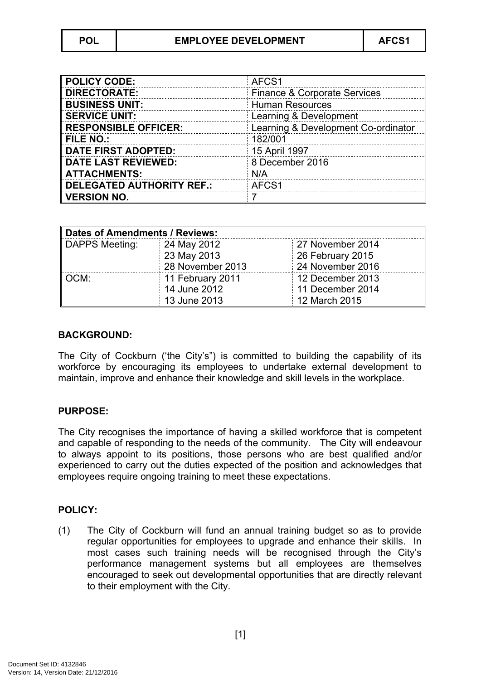| <b>POLICY CODE:</b>              | AFCS1                               |
|----------------------------------|-------------------------------------|
| <b>DIRECTORATE:</b>              | Finance & Corporate Services        |
| <b>BUSINESS UNIT:</b>            | <b>Human Resources</b>              |
| <b>SERVICE UNIT:</b>             | Learning & Development              |
| <b>RESPONSIBLE OFFICER:</b>      | Learning & Development Co-ordinator |
| <b>FILE NO.:</b>                 | 182/001                             |
| <b>DATE FIRST ADOPTED:</b>       | 15 April 1997                       |
| <b>DATE LAST REVIEWED:</b>       | 8 December 2016                     |
| <b>ATTACHMENTS:</b>              | N/A                                 |
| <b>DELEGATED AUTHORITY REF.:</b> | AFCS1                               |
| <b>VERSION NO.</b>               |                                     |

| Dates of Amendments / Reviews: |                  |                  |
|--------------------------------|------------------|------------------|
| DAPPS Meeting:                 | 24 May 2012      | 27 November 2014 |
|                                | 23 May 2013      | 26 February 2015 |
|                                | 28 November 2013 | 24 November 2016 |
| OCM:                           | 11 February 2011 | 12 December 2013 |
|                                | 14 June 2012     | 11 December 2014 |
|                                | 13 June 2013     | 12 March 2015    |

## **BACKGROUND:**

The City of Cockburn ('the City's") is committed to building the capability of its workforce by encouraging its employees to undertake external development to maintain, improve and enhance their knowledge and skill levels in the workplace.

## **PURPOSE:**

The City recognises the importance of having a skilled workforce that is competent and capable of responding to the needs of the community. The City will endeavour to always appoint to its positions, those persons who are best qualified and/or experienced to carry out the duties expected of the position and acknowledges that employees require ongoing training to meet these expectations.

## **POLICY:**

(1) The City of Cockburn will fund an annual training budget so as to provide regular opportunities for employees to upgrade and enhance their skills. In most cases such training needs will be recognised through the City's performance management systems but all employees are themselves encouraged to seek out developmental opportunities that are directly relevant to their employment with the City.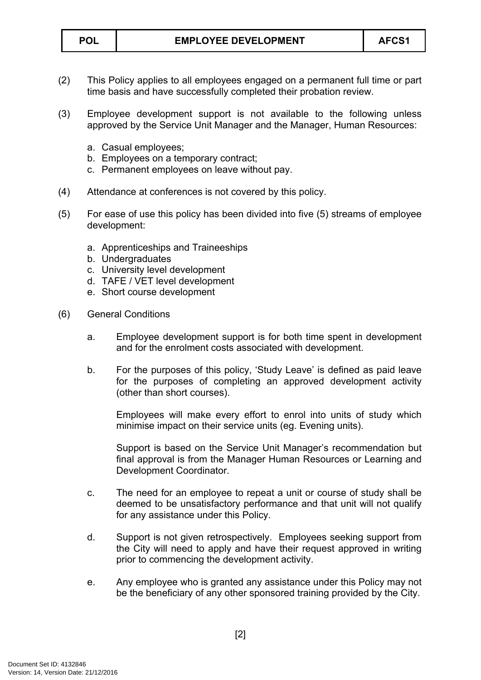- (2) This Policy applies to all employees engaged on a permanent full time or part time basis and have successfully completed their probation review.
- (3) Employee development support is not available to the following unless approved by the Service Unit Manager and the Manager, Human Resources:
	- a. Casual employees;
	- b. Employees on a temporary contract;
	- c. Permanent employees on leave without pay.
- (4) Attendance at conferences is not covered by this policy.
- (5) For ease of use this policy has been divided into five (5) streams of employee development:
	- a. Apprenticeships and Traineeships
	- b. Undergraduates
	- c. University level development
	- d. TAFE / VET level development
	- e. Short course development
- (6) General Conditions
	- a. Employee development support is for both time spent in development and for the enrolment costs associated with development.
	- b. For the purposes of this policy, 'Study Leave' is defined as paid leave for the purposes of completing an approved development activity (other than short courses).

Employees will make every effort to enrol into units of study which minimise impact on their service units (eg. Evening units).

Support is based on the Service Unit Manager's recommendation but final approval is from the Manager Human Resources or Learning and Development Coordinator.

- c. The need for an employee to repeat a unit or course of study shall be deemed to be unsatisfactory performance and that unit will not qualify for any assistance under this Policy.
- d. Support is not given retrospectively. Employees seeking support from the City will need to apply and have their request approved in writing prior to commencing the development activity.
- e. Any employee who is granted any assistance under this Policy may not be the beneficiary of any other sponsored training provided by the City.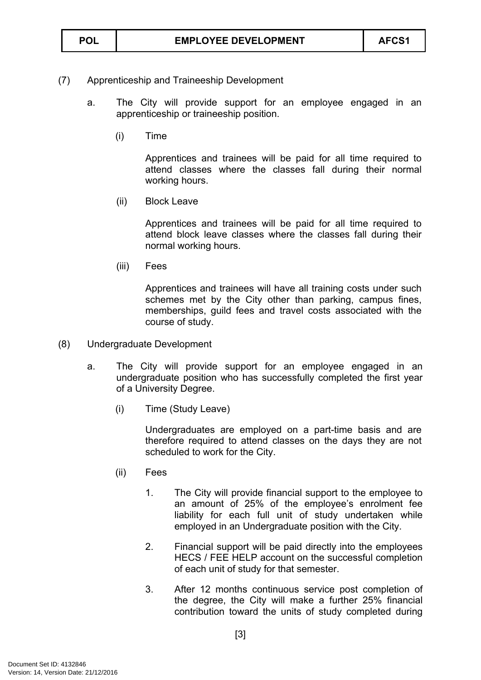## (7) Apprenticeship and Traineeship Development

- a. The City will provide support for an employee engaged in an apprenticeship or traineeship position.
	- (i) Time

Apprentices and trainees will be paid for all time required to attend classes where the classes fall during their normal working hours.

(ii) Block Leave

Apprentices and trainees will be paid for all time required to attend block leave classes where the classes fall during their normal working hours.

(iii) Fees

Apprentices and trainees will have all training costs under such schemes met by the City other than parking, campus fines, memberships, guild fees and travel costs associated with the course of study.

- (8) Undergraduate Development
	- a. The City will provide support for an employee engaged in an undergraduate position who has successfully completed the first year of a University Degree.
		- (i) Time (Study Leave)

Undergraduates are employed on a part-time basis and are therefore required to attend classes on the days they are not scheduled to work for the City.

- (ii) Fees
	- 1. The City will provide financial support to the employee to an amount of 25% of the employee's enrolment fee liability for each full unit of study undertaken while employed in an Undergraduate position with the City.
	- 2. Financial support will be paid directly into the employees HECS / FEE HELP account on the successful completion of each unit of study for that semester.
	- 3. After 12 months continuous service post completion of the degree, the City will make a further 25% financial contribution toward the units of study completed during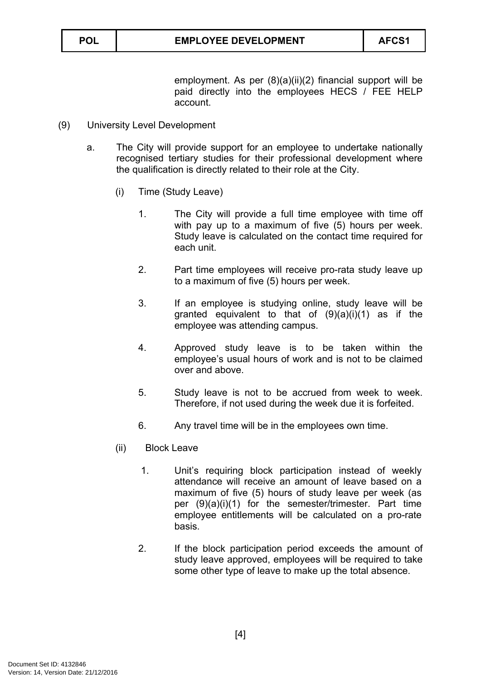employment. As per (8)(a)(ii)(2) financial support will be paid directly into the employees HECS / FEE HELP account.

- (9) University Level Development
	- a. The City will provide support for an employee to undertake nationally recognised tertiary studies for their professional development where the qualification is directly related to their role at the City.
		- (i) Time (Study Leave)
			- 1. The City will provide a full time employee with time off with pay up to a maximum of five (5) hours per week. Study leave is calculated on the contact time required for each unit.
			- 2. Part time employees will receive pro-rata study leave up to a maximum of five (5) hours per week.
			- 3. If an employee is studying online, study leave will be granted equivalent to that of  $(9)(a)(i)(1)$  as if the employee was attending campus.
			- 4. Approved study leave is to be taken within the employee's usual hours of work and is not to be claimed over and above.
			- 5. Study leave is not to be accrued from week to week. Therefore, if not used during the week due it is forfeited.
			- 6. Any travel time will be in the employees own time.
		- (ii) Block Leave
			- 1. Unit's requiring block participation instead of weekly attendance will receive an amount of leave based on a maximum of five (5) hours of study leave per week (as per (9)(a)(i)(1) for the semester/trimester. Part time employee entitlements will be calculated on a pro-rate basis.
			- 2. If the block participation period exceeds the amount of study leave approved, employees will be required to take some other type of leave to make up the total absence.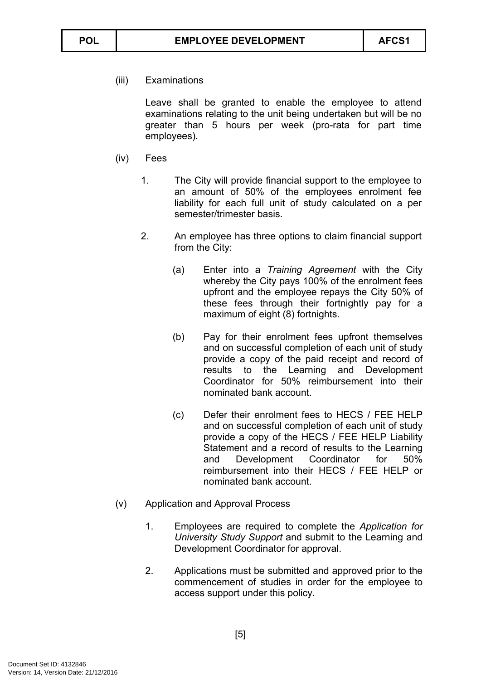(iii) Examinations

Leave shall be granted to enable the employee to attend examinations relating to the unit being undertaken but will be no greater than 5 hours per week (pro-rata for part time employees).

- (iv) Fees
	- 1. The City will provide financial support to the employee to an amount of 50% of the employees enrolment fee liability for each full unit of study calculated on a per semester/trimester basis.
	- 2. An employee has three options to claim financial support from the City:
		- (a) Enter into a *Training Agreement* with the City whereby the City pays 100% of the enrolment fees upfront and the employee repays the City 50% of these fees through their fortnightly pay for a maximum of eight (8) fortnights.
		- (b) Pay for their enrolment fees upfront themselves and on successful completion of each unit of study provide a copy of the paid receipt and record of results to the Learning and Development Coordinator for 50% reimbursement into their nominated bank account.
		- (c) Defer their enrolment fees to HECS / FEE HELP and on successful completion of each unit of study provide a copy of the HECS / FEE HELP Liability Statement and a record of results to the Learning and Development Coordinator for 50% reimbursement into their HECS / FEE HELP or nominated bank account.
- (v) Application and Approval Process
	- 1. Employees are required to complete the *Application for University Study Support* and submit to the Learning and Development Coordinator for approval.
	- 2. Applications must be submitted and approved prior to the commencement of studies in order for the employee to access support under this policy.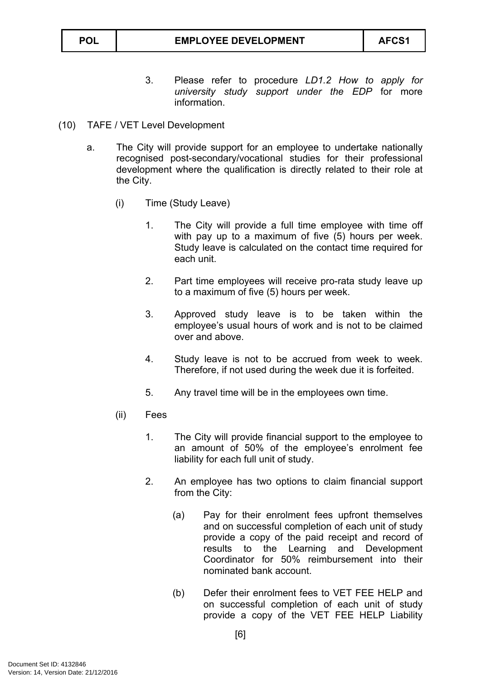- 3. Please refer to procedure *LD1.2 How to apply for university study support under the EDP* for more information.
- (10) TAFE / VET Level Development
	- a. The City will provide support for an employee to undertake nationally recognised post-secondary/vocational studies for their professional development where the qualification is directly related to their role at the City.
		- (i) Time (Study Leave)
			- 1. The City will provide a full time employee with time off with pay up to a maximum of five (5) hours per week. Study leave is calculated on the contact time required for each unit.
			- 2. Part time employees will receive pro-rata study leave up to a maximum of five (5) hours per week.
			- 3. Approved study leave is to be taken within the employee's usual hours of work and is not to be claimed over and above.
			- 4. Study leave is not to be accrued from week to week. Therefore, if not used during the week due it is forfeited.
			- 5. Any travel time will be in the employees own time.
		- (ii) Fees
			- 1. The City will provide financial support to the employee to an amount of 50% of the employee's enrolment fee liability for each full unit of study.
			- 2. An employee has two options to claim financial support from the City:
				- (a) Pay for their enrolment fees upfront themselves and on successful completion of each unit of study provide a copy of the paid receipt and record of results to the Learning and Development Coordinator for 50% reimbursement into their nominated bank account.
				- (b) Defer their enrolment fees to VET FEE HELP and on successful completion of each unit of study provide a copy of the VET FEE HELP Liability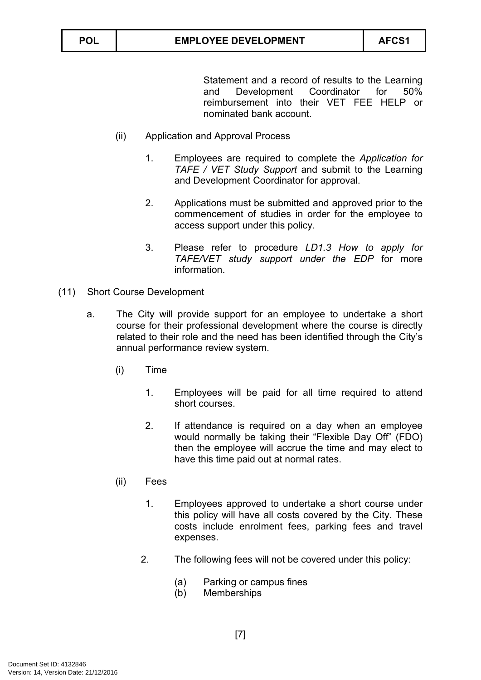Statement and a record of results to the Learning and Development Coordinator for 50% reimbursement into their VET FEE HELP or nominated bank account.

- (ii) Application and Approval Process
	- 1. Employees are required to complete the *Application for TAFE / VET Study Support* and submit to the Learning and Development Coordinator for approval.
	- 2. Applications must be submitted and approved prior to the commencement of studies in order for the employee to access support under this policy.
	- 3. Please refer to procedure *LD1.3 How to apply for TAFE/VET study support under the EDP* for more information.
- (11) Short Course Development
	- a. The City will provide support for an employee to undertake a short course for their professional development where the course is directly related to their role and the need has been identified through the City's annual performance review system.
		- (i) Time
			- 1. Employees will be paid for all time required to attend short courses.
			- 2. If attendance is required on a day when an employee would normally be taking their "Flexible Day Off" (FDO) then the employee will accrue the time and may elect to have this time paid out at normal rates.
		- (ii) Fees
			- 1. Employees approved to undertake a short course under this policy will have all costs covered by the City. These costs include enrolment fees, parking fees and travel expenses.
			- 2. The following fees will not be covered under this policy:
				- (a) Parking or campus fines
				- (b) Memberships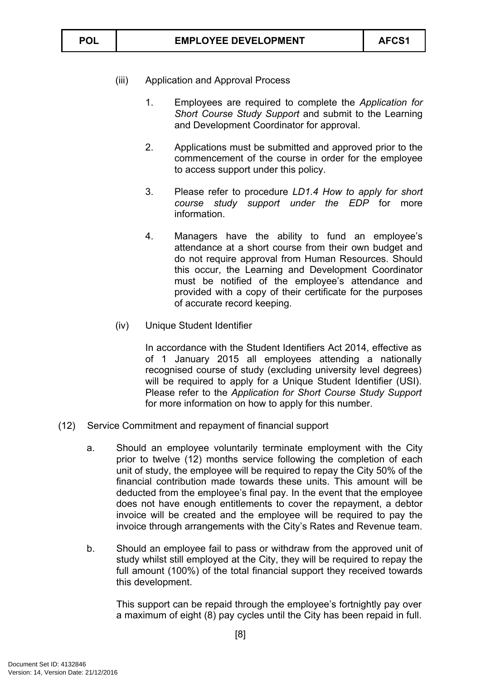- (iii) Application and Approval Process
	- 1. Employees are required to complete the *Application for Short Course Study Support* and submit to the Learning and Development Coordinator for approval.
	- 2. Applications must be submitted and approved prior to the commencement of the course in order for the employee to access support under this policy.
	- 3. Please refer to procedure *LD1.4 How to apply for short course study support under the EDP* for more information.
	- 4. Managers have the ability to fund an employee's attendance at a short course from their own budget and do not require approval from Human Resources. Should this occur, the Learning and Development Coordinator must be notified of the employee's attendance and provided with a copy of their certificate for the purposes of accurate record keeping.
- (iv) Unique Student Identifier

In accordance with the Student Identifiers Act 2014, effective as of 1 January 2015 all employees attending a nationally recognised course of study (excluding university level degrees) will be required to apply for a Unique Student Identifier (USI). Please refer to the *Application for Short Course Study Support* for more information on how to apply for this number.

- (12) Service Commitment and repayment of financial support
	- a. Should an employee voluntarily terminate employment with the City prior to twelve (12) months service following the completion of each unit of study, the employee will be required to repay the City 50% of the financial contribution made towards these units. This amount will be deducted from the employee's final pay. In the event that the employee does not have enough entitlements to cover the repayment, a debtor invoice will be created and the employee will be required to pay the invoice through arrangements with the City's Rates and Revenue team.
	- b. Should an employee fail to pass or withdraw from the approved unit of study whilst still employed at the City, they will be required to repay the full amount (100%) of the total financial support they received towards this development.

This support can be repaid through the employee's fortnightly pay over a maximum of eight (8) pay cycles until the City has been repaid in full.